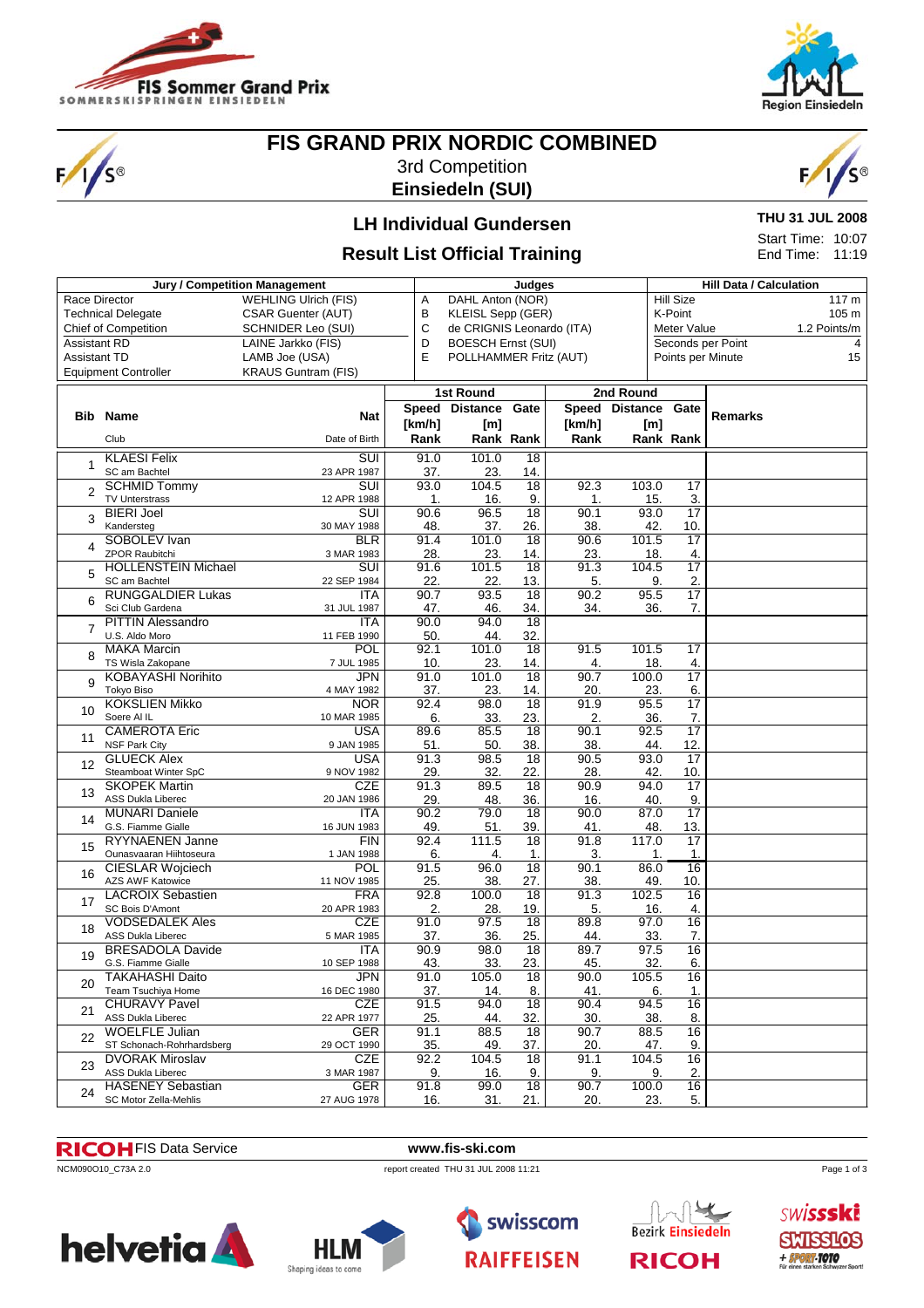

 $\sqrt{s}$ 



# **FIS GRAND PRIX NORDIC COMBINED**

3rd Competition **Einsiedeln (SUI)**



**THU 31 JUL 2008** Start Time: 10:07 End Time: 11:19

## **LH Individual Gundersen**

#### **Result List Official Training**

**Jury / Competition Management Judges Judges Hill Data / Calculation** Race Director WEHLING Ulrich (FIS)<br>Technical Delegate CSAR Guenter (AUT) CSAR Guenter (AUT) Chief of Competition SCHNIDER Leo (SUI) Assistant RD LAINE Jarkko (FIS) Assistant TD<br>
Equipment Controller **Example 18 SEACO EQUIPMENT**<br>
KRAUS Guntram (FIS) Equipment Controller A DAHL Anton (NOR)<br>B KLEISL Sepp (GER KLEISL Sepp (GER) C de CRIGNIS Leonardo (ITA) D BOESCH Ernst (SUI) E POLLHAMMER Fritz (AUT) Hill Size 117 m<br>K-Point 105 m K-Point Meter Value 1.2 Points/m Seconds per Point 4 Points per Minute 15 **Bib Name** Club **Nat** Date of Birth **1st Round Speed Distance Gate [km/h] [m] Rank Rank Rank 2nd Round Speed Distance Gate [km/h] [m] Rank Rank Rank Remarks** <sup>1</sup> KLAESI Felix SUI 23 APR 1987 91.0 101.0 18 37. 23. 14. 2 SCHMID Tommy SUI<br>TV Unterstrass 12 APR 1988 **TV Unterstrass** 93.0 104.5 18  $\frac{1.}{90.6}$   $\frac{16.}{96.5}$   $\frac{9.}{18}$ 92.3 103.0 17 1. 15. 3. 3 BIERI Joel SUI<br>
30 MAY 1988<br>
30 MAY 1988 30 MAY 1988  $96.5$  18 48. 37. 26. 90.1 93.0 17<br>38. 42. 10 38. 42. 10. 4 SOBOLEV Ivan BLR<br>4 ZPOR Raubitchi 3 MAR 1983 zpor Raubitchi 3 MAR 1983<br>
HOLLENSTEIN Michael SUI 91.4 101.0 18<br>28. 23. 14. 28. 23. 14.<br>91.6 101.5 18 90.6 101.5 17<br>23. 18. 4 23. 18. 4.<br>91.3 104.5 17 5 HOLLENSTEIN Michael 22 SEP 1984  $101.5$ 22. 22. 13. 104.5 5. 9. 2. 6 RUNGGALDIER Lukas ITA<br>Sci Club Gardena 31 JUL 1987 Sci Club Gardena 90.7 93.5 18 47. 46. 34.<br>90.0 94.0 18 90.2 95.5 17 34. 36. 7. 7 PITTIN Alessandro ITA<br>
U.S. Aldo Moro 11 FEB 1990 U.S. Aldo Moro 90.0 94.0 18 50. 44. 32.<br>92.1 101.0 18 8 MAKA Marcin POL<br>TS Wisla Zakopane 7 JUL 1985 TS Wisla Zakopane 101.0 10. 23. 14. 91.5 101.5 17<br>4 18 4 4. 18. 4.<br>90.7 100.0 17 9 KOBAYASHI Norihito JPN<br>P<sub>Tokyo</sub> Biso 4 MAY 1982 4 MAY 1982  $\frac{1}{101.0}$ 37. 23. 14.  $100.0$ 20. 23. 6. 10 KOKSLIEN Mikko 10 MAR 1985  $\frac{20.1}{92.4}$  98.0 18 6. 33. 23.<br>89.6 85.5 18  $\frac{281}{91.9}$  95.5 17 2. 36. 7.<br>90.1 92.5 17 11 CAMEROTA Eric USA<br>
11 NSF Park City 9 JAN 1985 NSF Park City 9 JAN 1985  $\frac{1}{6}$ <br>  $\frac{85.5}{60}$ <br>  $\frac{18}{38}$ 51. 50. 38.<br>91.3 98.5 18 92.5 17<br>38 44 12 <u>38. 44. 12</u><br>90.5 93.0 17 12 GLUECK Alex USA<br>
Steamboat Winter SpC 9 NOV 1982 Steamboat Winter SpC era 13<br>13 98.5 18<br>29. 32. 22 32 90.5 93.0 17 42 13 SKOPEK Martin CZE<br>
ASS Dukla Liberec 20 JAN 1986 ASS Dukla Liberec 91.3 89.5 18 29. 48. 36. 90.9 94.0 17 16. 40. 9. 14 MUNARI Daniele ITA<br>
16 G.S. Fiamme Gialle 16 JUN 1983 G.S. Fiamme Gialle 90.2 79.0 18<br>49. 51. 39. 49. 51. 39.<br>92.4 111.5 18 90.0 87.0 17<br>41. 48. 13. 41. 48. 13 15 RYYNAENEN Janne FIN<br>
Dunasvaaran Hiihtoseura 1988 1988 Ounasvaaran Hiihtoseura 111.5 6. 4. 1.  $117.0$ 3. 1. 1. 16 CIESLAR Wojciech POL<br>11 AZS AWF Katowice 11 NOV 1985 AZS AWF Katowice 11 NOV 1985<br>LACROIX Sebastien FRA 91.5 96.0 18 25. 38. 27. 90.1 86.0 16 38. 49. 10. 17 LACROIX Sebastien FRA<br>
SC Bois D'Amont 20 APR 1983 SC Bois D'Amont  $\frac{281}{92.8}$  100.0 18 2. 28. 19. 91.3 102.5 16  $\frac{5.}{89.8}$   $\frac{16.}{97.0}$   $\frac{4.}{16}$ 18 VODSEDALEK Ales CZE<br>18 ASS Dukla Liberec 5 MAR 1985 ASS Dukla Liberec 1985<br>BRESADOLA Davide 1985<br>TTA 1985  $97.5$ 37. 36. 25.<br>90.9 98.0 18  $97.0$ 44. 33. 7. 19 BRESADOLA Davide ITA<br>19 G.S. Fiamme Gialle 10 SEP 1988 G.S. Fiamme Gialle end<br>
98.0 18<br>
98.0 18<br>
93. 23 43. 33. 23.<br>91.0 105.0 18 89.7 97.5 16 45. 32. 6.<br>90.0 105.5 16 <sup>20</sup> TAKAHASHI Daito JPN Team Tsuchiya Home 01.0 105.0 18<br>37. 14. 8.  $\frac{14.}{94.0}$   $\frac{8.}{18}$ 105.5 16  $\frac{41.}{90.4}$  6. 1 21 CHURAVY Pavel CZE<br>
ASS Dukla Liberec 22 APR 1977 ASS Dukla Liberec  $91.5$  94.0 25. 44. 32.  $94.5$  16 30. 38. 8. 22 WOELFLE Julian GER<br>
ST Schonach-Rohrhardsberg<br>
29 OCT 1990 ST Schonach-Rohrhardsberg 91.1 88.5 18 35. 49. 37.<br>92.2 104.5 18 90.7 88.5 16 20. 47. 9.<br>91.1 104.5 16 23 DVORAK Miroslav CZE<br>ASS Dukla Liberec 3 MAR 1987 ASS Dukla Liberec 104.5 9. 16. 9.<br>91.8 99.0 18 104.5 9. 9. 2. 24 HASENEY Sebastian GER<br>
SC Motor Zella-Mehlis 27 AUG 1978 SC Motor Zella-Mehlis  $\frac{99.0}{31}$  18 16. 31. 21. 90.7 100.0 16 20. 23. 5.

#### FIS Data Service **www.fis-ski.com**

NCM090O10\_C73A 2.0 report created THU 31 JUL 2008 11:21







∧I¥ **Bezirk Einsiedeln RICOH** 

Page 1 of 3

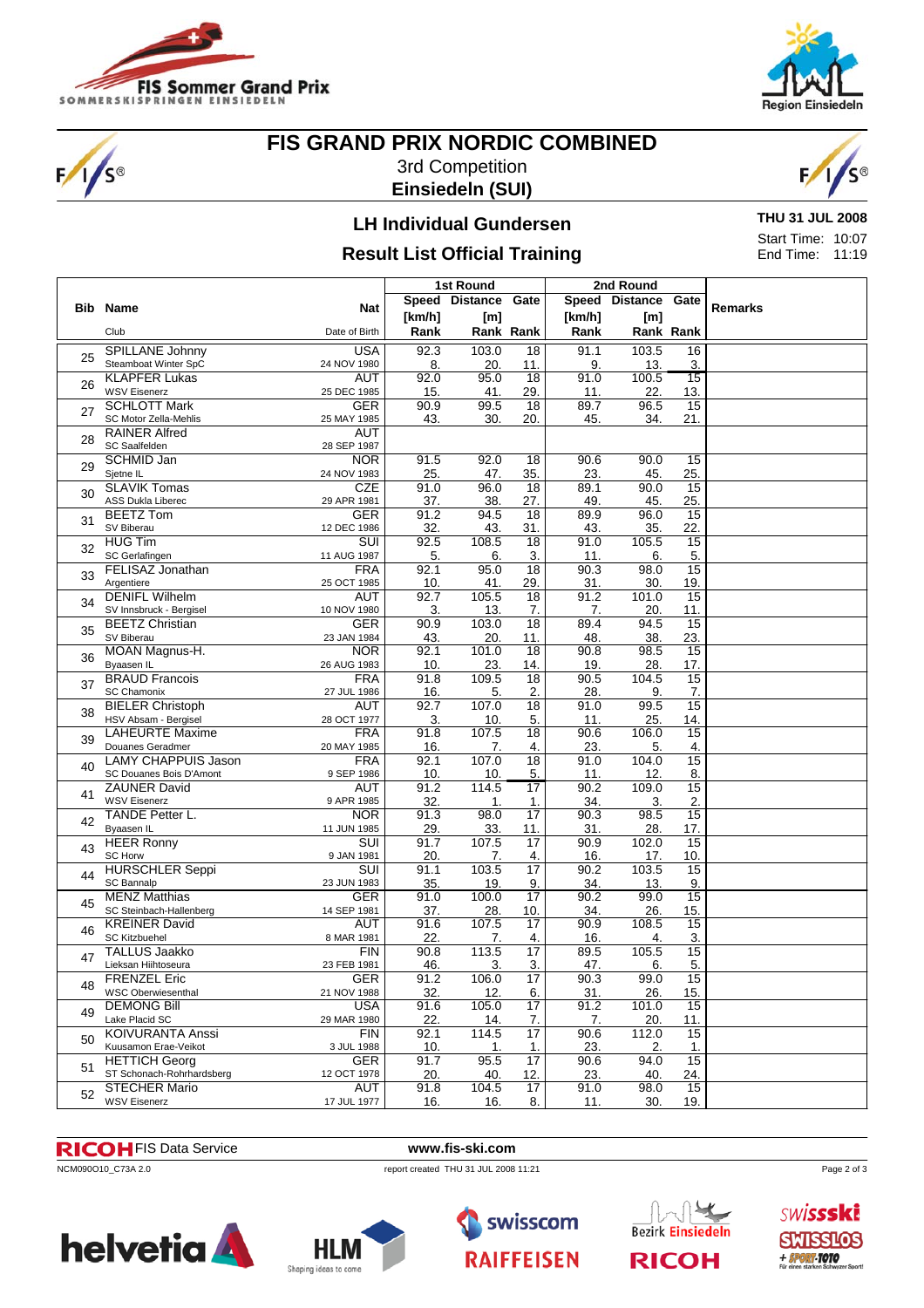

'S®



# **FIS GRAND PRIX NORDIC COMBINED**

3rd Competition **Einsiedeln (SUI)**



# **LH Individual Gundersen**

# **Result List Official Training**

**THU 31 JUL 2008** Start Time: 10:07 End Time: 11:19

|    |                                                   |                           | 1st Round |                |                 | 2nd Round |                     |                 |                |
|----|---------------------------------------------------|---------------------------|-----------|----------------|-----------------|-----------|---------------------|-----------------|----------------|
|    |                                                   |                           |           | Speed Distance | Gate            |           | Speed Distance Gate |                 | <b>Remarks</b> |
|    | <b>Bib Name</b>                                   | Nat                       | [km/h]    | [m]            |                 | [km/h]    | [m]                 |                 |                |
|    | Club                                              | Date of Birth             | Rank      |                | Rank Rank       | Rank      |                     | Rank Rank       |                |
|    |                                                   |                           |           | 103.0          |                 |           | 103.5               |                 |                |
| 25 | <b>SPILLANE Johnny</b>                            | <b>USA</b>                | 92.3      |                | 18              | 91.1      |                     | 16              |                |
|    | Steamboat Winter SpC                              | 24 NOV 1980               | 8.        | 20.            | 11.             | 9.        | 13.                 | 3.              |                |
| 26 | <b>KLAPFER Lukas</b>                              | <b>AUT</b>                | 92.0      | 95.0           | $\overline{18}$ | 91.0      | 100.5               | 15              |                |
|    | <b>WSV Eisenerz</b>                               | 25 DEC 1985               | 15.       | 41.            | 29.             | 11.       | 22.                 | 13.             |                |
| 27 | <b>SCHLOTT Mark</b>                               | GER                       | 90.9      | 99.5           | $\overline{18}$ | 89.7      | 96.5                | 15              |                |
|    | SC Motor Zella-Mehlis                             | 25 MAY 1985               | 43.       | 30.            | 20.             | 45.       | 34.                 | 21.             |                |
| 28 | <b>RAINER Alfred</b>                              | <b>AUT</b>                |           |                |                 |           |                     |                 |                |
|    | SC Saalfelden                                     | 28 SEP 1987               |           |                |                 |           |                     |                 |                |
| 29 | <b>SCHMID Jan</b>                                 | <b>NOR</b>                | 91.5      | 92.0           | 18              | 90.6      | 90.0                | 15              |                |
|    | Sjetne IL                                         | 24 NOV 1983               | 25.       | 47.            | 35.             | 23.       | 45.                 | 25.             |                |
| 30 | <b>SLAVIK Tomas</b>                               | <b>CZE</b>                | 91.0      | 96.0           | $\overline{18}$ | 89.1      | 90.0                | 15              |                |
|    | <b>ASS Dukla Liberec</b>                          | 29 APR 1981               | 37.       | 38.            | 27.             | 49.       | 45.                 | 25.             |                |
| 31 | <b>BEETZ Tom</b>                                  | <b>GER</b>                | 91.2      | 94.5           | 18              | 89.9      | 96.0                | 15              |                |
|    | SV Biberau                                        | 12 DEC 1986               | 32.       | 43.            | 31.             | 43.       | 35.                 | 22.             |                |
| 32 | <b>HUG Tim</b>                                    | $\overline{\text{SUI}}$   | 92.5      | 108.5          | 18              | 91.0      | 105.5               | 15              |                |
|    | SC Gerlafingen                                    | 11 AUG 1987               | 5.        | 6.             | 3.              | 11.       | 6.                  | 5.              |                |
| 33 | FELISAZ Jonathan                                  | <b>FRA</b>                | 92.1      | 95.0           | 18              | 90.3      | 98.0                | $\overline{15}$ |                |
|    | Argentiere                                        | 25 OCT 1985               | 10.       | 41.            | 29.             | 31.       | 30.                 | 19.             |                |
| 34 | <b>DENIFL Wilhelm</b>                             | <b>AUT</b>                | 92.7      | 105.5          | $\overline{18}$ | 91.2      | 101.0               | 15              |                |
|    | SV Innsbruck - Bergisel                           | 10 NOV 1980               | 3.        | 13.            | 7.              | 7.        | 20.                 | 11.             |                |
| 35 | <b>BEETZ Christian</b>                            | <b>GER</b>                | 90.9      | 103.0          | 18              | 89.4      | 94.5                | 15              |                |
|    | SV Biberau                                        | 23 JAN 1984               | 43.       | 20.            | 11.             | 48.       | 38.                 | 23.             |                |
| 36 | MOAN Magnus-H.                                    | <b>NOR</b>                | 92.1      | 101.0          | 18              | 90.8      | 98.5                | 15              |                |
|    | Byaasen IL                                        | 26 AUG 1983               | 10.       | 23.            | 14.             | 19.       | 28.                 | 17.             |                |
| 37 | <b>BRAUD Francois</b>                             | <b>FRA</b>                | 91.8      | 109.5          | 18              | 90.5      | 104.5               | 15              |                |
|    | <b>SC Chamonix</b>                                | 27 JUL 1986               | 16.       | 5.             | 2.              | 28.       | 9.                  | 7.              |                |
| 38 | <b>BIELER Christoph</b>                           | <b>AUT</b>                | 92.7      | 107.0          | $\overline{18}$ | 91.0      | 99.5                | 15              |                |
|    | HSV Absam - Bergisel                              | 28 OCT 1977               | 3.        | 10.            | 5.              | 11.       | 25.                 | 14.             |                |
| 39 | <b>LAHEURTE Maxime</b>                            | <b>FRA</b>                | 91.8      | 107.5          | $\overline{18}$ | 90.6      | 106.0               | $\overline{15}$ |                |
|    | Douanes Geradmer                                  | 20 MAY 1985               | 16.       | 7.             | 4.              | 23.       | 5.                  | 4.              |                |
| 40 | <b>LAMY CHAPPUIS Jason</b>                        | <b>FRA</b>                | 92.1      | 107.0          | $\overline{18}$ | 91.0      | 104.0               | $\overline{15}$ |                |
|    | SC Douanes Bois D'Amont                           | 9 SEP 1986                | 10.       | 10.            | 5.              | 11.       | 12.                 | 8.              |                |
| 41 | <b>ZAUNER David</b>                               | <b>AUT</b>                | 91.2      | 114.5          | $\overline{17}$ | 90.2      | 109.0               | $\overline{15}$ |                |
|    | <b>WSV Eisenerz</b>                               | 9 APR 1985                | 32.       | 1.             | 1.              | 34.       | 3.                  | 2.              |                |
| 42 | <b>TANDE Petter L.</b>                            | <b>NOR</b>                | 91.3      | 98.0           | 17              | 90.3      | 98.5                | 15              |                |
|    | Byaasen IL                                        | 11 JUN 1985               | 29.       | 33.            | 11.             | 31.       | 28.                 | 17.             |                |
| 43 | <b>HEER Ronny</b>                                 | <b>SUI</b>                | 91.7      | 107.5          | 17              | 90.9      | 102.0               | 15              |                |
|    | <b>SC Horw</b>                                    | 9 JAN 1981                | 20.       | 7.             | 4.              | 16.       | 17.                 | 10.             |                |
| 44 | <b>HURSCHLER Seppi</b>                            | <b>SUI</b>                | 91.1      | 103.5          | 17              | 90.2      | 103.5               | 15              |                |
|    | SC Bannalp                                        | 23 JUN 1983               | 35.       | 19.            | 9.              | 34.       | 13.                 | 9.              |                |
| 45 | <b>MENZ Matthias</b>                              | GER                       | 91.0      | 100.0          | 17              | 90.2      | 99.0                | 15              |                |
|    | SC Steinbach-Hallenberg                           | 14 SEP 1981               | 37.       | 28.            | 10.             | 34.       | 26.                 | 15.             |                |
| 46 | <b>KREINER David</b>                              | <b>AUT</b>                | 91.6      | 107.5          | $\overline{17}$ | 90.9      | 108.5               | 15              |                |
|    | <b>SC Kitzbuehel</b>                              | 8 MAR 1981                | 22.       | 7.             | 4.              | 16.       | 4.                  | 3.              |                |
| 47 | TALLUS Jaakko                                     | <b>FIN</b>                | 90.8      | 113.5          | $\overline{17}$ | 89.5      | 105.5               | $\overline{15}$ |                |
|    | Lieksan Hiihtoseura<br><b>FRENZEL Eric</b>        | 23 FEB 1981               | 46.       | 3.             | 3.              | 47.       | 6.                  | 5.              |                |
| 48 |                                                   | <b>GER</b>                | 91.2      | 106.0          | $\overline{17}$ | 90.3      | 99.0                | 15              |                |
| 49 | <b>WSC Oberwiesenthal</b>                         | 21 NOV 1988               | 32.       | 12.            | 6.              | 31.       | 26.                 | 15.             |                |
|    | <b>DEMONG Bill</b>                                | <b>USA</b>                | 91.6      | 105.0          | $\overline{17}$ | 91.2      | 101.0               | 15              |                |
|    | Lake Placid SC                                    | 29 MAR 1980               | 22.       | 14.            | 7.              | 7.        | 20.                 | 11.             |                |
| 50 | <b>KOIVURANTA Anssi</b>                           | <b>FIN</b>                | 92.1      | 114.5          | 17              | 90.6      | 112.0               | 15              |                |
|    | Kuusamon Erae-Veikot                              | 3 JUL 1988                | 10.       | 1.             | 1.              | 23.       | 2.                  | 1.              |                |
| 51 | <b>HETTICH Georg</b>                              | <b>GER</b>                | 91.7      | 95.5           | 17              | 90.6      | 94.0                | 15              |                |
|    | ST Schonach-Rohrhardsberg<br><b>STECHER Mario</b> | 12 OCT 1978<br><b>AUT</b> | 20.       | 40.<br>104.5   | 12.<br>17       | 23.       | 40.                 | 24.<br>15       |                |
| 52 | <b>WSV Eisenerz</b>                               |                           | 91.8      |                |                 | 91.0      | 98.0                |                 |                |
|    |                                                   | 17 JUL 1977               | 16.       | 16.            | 8.              | 11.       | 30.                 | 19.             |                |

#### FIS Data Service **www.fis-ski.com**

NCM090O10\_C73A 2.0 report created THU 31 JUL 2008 11:21







 $\mathbb{R}^{\mathbb{N}}$ **Bezirk Einsiedeln RICOH**